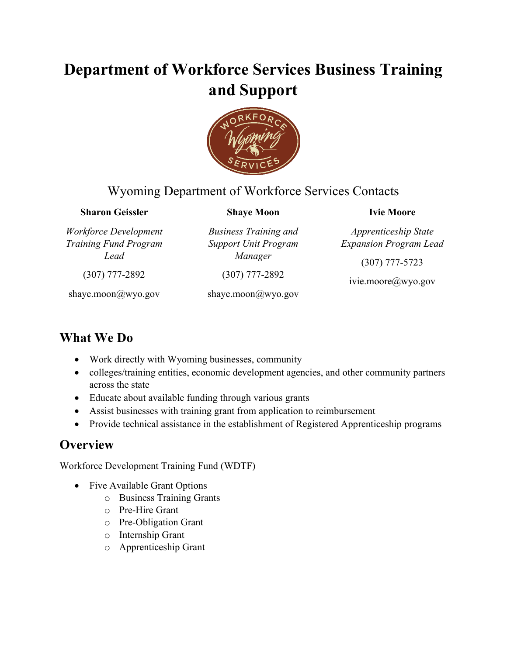# **Department of Workforce Services Business Training and Support**



#### Wyoming Department of Workforce Services Contacts

#### **Sharon Geissler**

*Workforce Development Training Fund Program Lead*

**Shaye Moon**

*Business Training and Support Unit Program Manager*

**Ivie Moore**

*Apprenticeship State Expansion Program Lead*

(307) 777-5723

shaye.moon@wyo.gov

(307) 777-2892

(307) 777-2892

shaye.moon@wyo.gov

ivie.moore@wyo.gov

#### **What We Do**

- Work directly with Wyoming businesses, community
- colleges/training entities, economic development agencies, and other community partners across the state
- Educate about available funding through various grants
- Assist businesses with training grant from application to reimbursement
- Provide technical assistance in the establishment of Registered Apprenticeship programs

### **Overview**

Workforce Development Training Fund (WDTF)

- Five Available Grant Options
	- o Business Training Grants
	- o Pre-Hire Grant
	- o Pre-Obligation Grant
	- o Internship Grant
	- o Apprenticeship Grant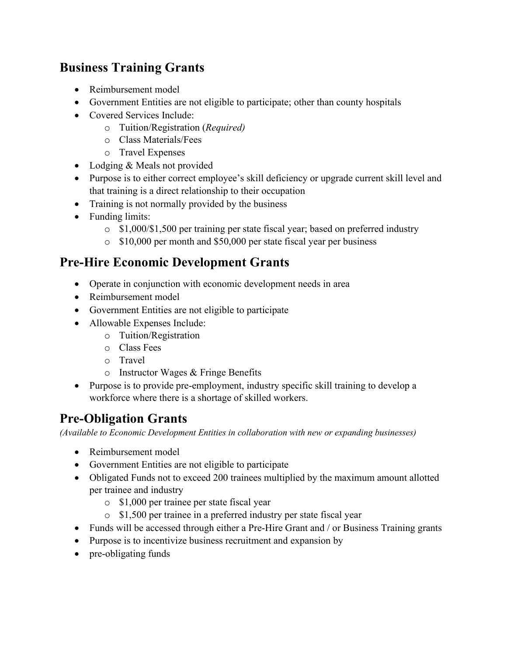### **Business Training Grants**

- Reimbursement model
- Government Entities are not eligible to participate; other than county hospitals
- Covered Services Include:
	- o Tuition/Registration (*Required)*
	- o Class Materials/Fees
	- o Travel Expenses
- Lodging & Meals not provided
- Purpose is to either correct employee's skill deficiency or upgrade current skill level and that training is a direct relationship to their occupation
- Training is not normally provided by the business
- Funding limits:
	- $\circ$  \$1,000/\$1,500 per training per state fiscal year; based on preferred industry
	- o \$10,000 per month and \$50,000 per state fiscal year per business

#### **Pre-Hire Economic Development Grants**

- Operate in conjunction with economic development needs in area
- Reimbursement model
- Government Entities are not eligible to participate
- Allowable Expenses Include:
	- o Tuition/Registration
	- o Class Fees
	- o Travel
	- o Instructor Wages & Fringe Benefits
- Purpose is to provide pre-employment, industry specific skill training to develop a workforce where there is a shortage of skilled workers.

# **Pre-Obligation Grants**

*(Available to Economic Development Entities in collaboration with new or expanding businesses)*

- Reimbursement model
- Government Entities are not eligible to participate
- Obligated Funds not to exceed 200 trainees multiplied by the maximum amount allotted per trainee and industry
	- o \$1,000 per trainee per state fiscal year
	- o \$1,500 per trainee in a preferred industry per state fiscal year
- Funds will be accessed through either a Pre-Hire Grant and / or Business Training grants
- Purpose is to incentivize business recruitment and expansion by
- pre-obligating funds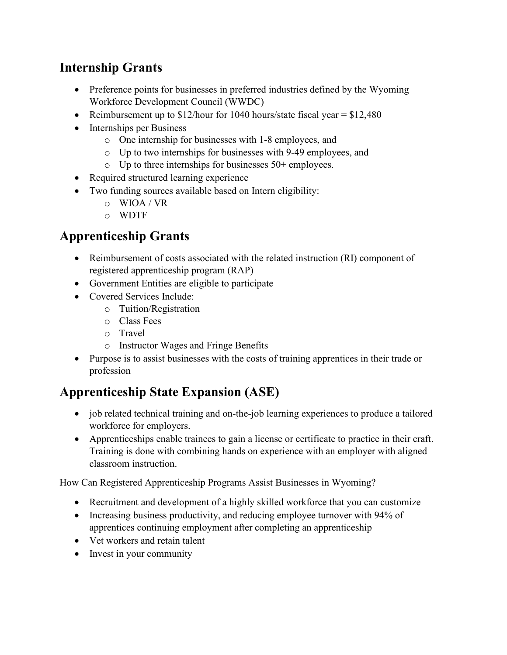### **Internship Grants**

- Preference points for businesses in preferred industries defined by the Wyoming Workforce Development Council (WWDC)
- Reimbursement up to  $$12/h$ our for 1040 hours/state fiscal year =  $$12,480$
- Internships per Business
	- o One internship for businesses with 1-8 employees, and
	- o Up to two internships for businesses with 9-49 employees, and
	- $\circ$  Up to three internships for businesses 50+ employees.
- Required structured learning experience
- Two funding sources available based on Intern eligibility:
	- o WIOA / VR
	- o WDTF

#### **Apprenticeship Grants**

- Reimbursement of costs associated with the related instruction (RI) component of registered apprenticeship program (RAP)
- Government Entities are eligible to participate
- Covered Services Include:
	- o Tuition/Registration
	- o Class Fees
	- o Travel
	- o Instructor Wages and Fringe Benefits
- Purpose is to assist businesses with the costs of training apprentices in their trade or profession

### **Apprenticeship State Expansion (ASE)**

- job related technical training and on-the-job learning experiences to produce a tailored workforce for employers.
- Apprenticeships enable trainees to gain a license or certificate to practice in their craft. Training is done with combining hands on experience with an employer with aligned classroom instruction.

How Can Registered Apprenticeship Programs Assist Businesses in Wyoming?

- Recruitment and development of a highly skilled workforce that you can customize
- Increasing business productivity, and reducing employee turnover with 94% of apprentices continuing employment after completing an apprenticeship
- Vet workers and retain talent
- Invest in your community